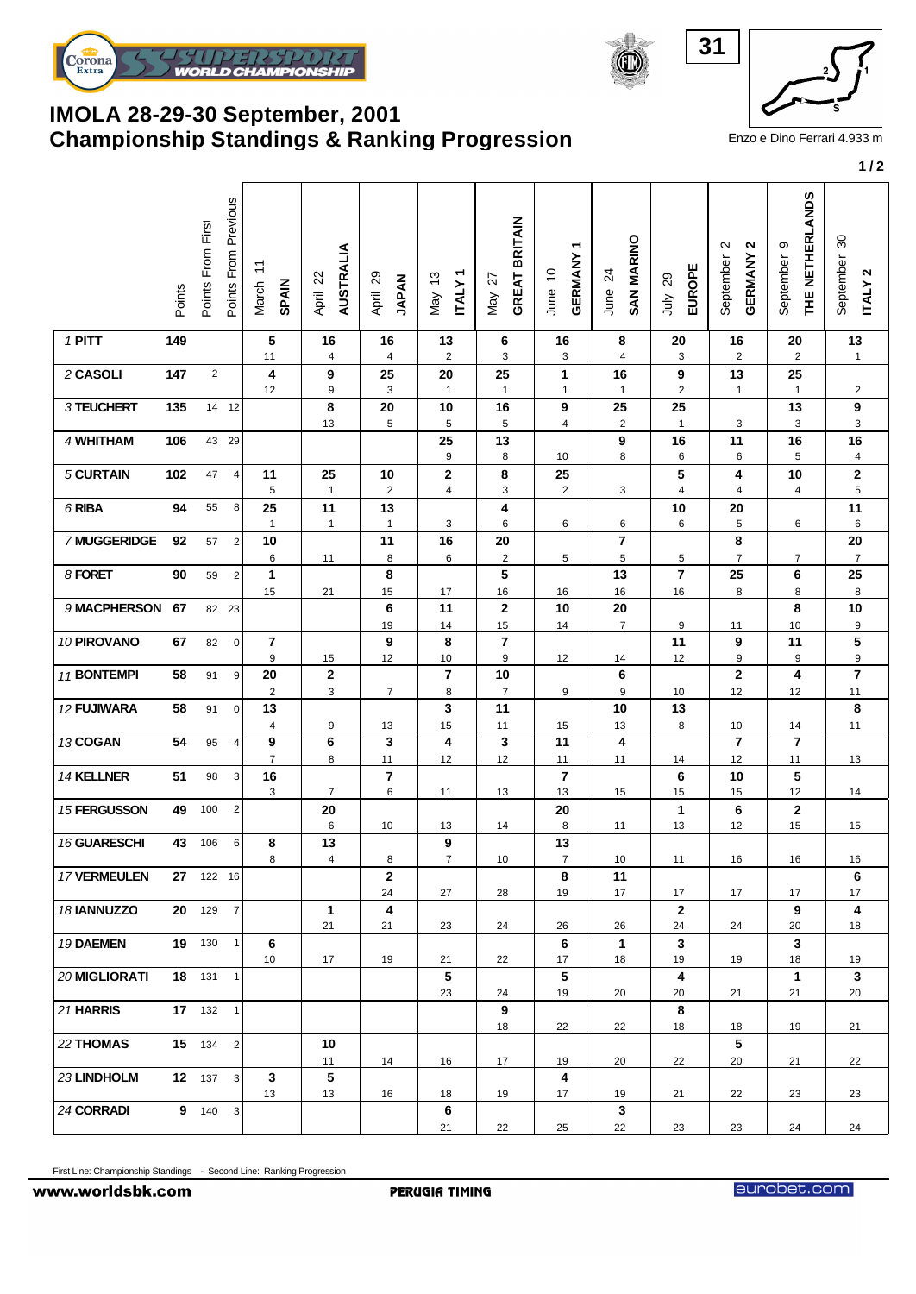

## **Championship Standings & Ranking Progression** Enzo e Dino Ferrari 4.933 m **IMOLA 28-29-30 September, 2001**



|                     | Points | Points From First | Points From Previous | $\overleftarrow{\cdot}$<br>March<br><b>SPAIN</b> | AUSTRALIA<br>April 22         | April 29<br><b>JAPAN</b>      | <b>ITALY1</b><br>May 13   | <b>GREAT BRITAIN</b><br>May 27 | ٣<br>GERMANY<br>June 10       | <b>SAN MARINO</b><br>$\overline{24}$<br>June | EUROPE<br>29<br>July            | <b>GERMANY 2</b><br>$\mathbf{\Omega}$<br>September | THE NETHERLANDS<br>თ<br>September | 80<br>September<br><b>ITALY2</b> |
|---------------------|--------|-------------------|----------------------|--------------------------------------------------|-------------------------------|-------------------------------|---------------------------|--------------------------------|-------------------------------|----------------------------------------------|---------------------------------|----------------------------------------------------|-----------------------------------|----------------------------------|
| 1 PITT              | 149    |                   |                      | 5<br>11                                          | 16<br>$\overline{4}$          | 16<br>$\overline{4}$          | 13<br>$\sqrt{2}$          | 6<br>3                         | 16<br>3                       | 8<br>$\overline{\mathbf{4}}$                 | 20<br>$\ensuremath{\mathsf{3}}$ | 16<br>$\overline{2}$                               | 20<br>$\overline{c}$              | 13<br>$\mathbf{1}$               |
| 2 CASOLI            | 147    | $\overline{2}$    |                      | 4<br>12                                          | 9<br>9                        | 25<br>3                       | 20<br>$\mathbf{1}$        | 25<br>$\mathbf{1}$             | $\mathbf{1}$<br>$\mathbf{1}$  | 16<br>$\mathbf{1}$                           | 9<br>$\sqrt{2}$                 | 13<br>$\mathbf{1}$                                 | 25<br>$\mathbf{1}$                | $\overline{2}$                   |
| 3 TEUCHERT          | 135    | 14 12             |                      |                                                  | 8<br>13                       | 20<br>5                       | 10<br>5                   | 16<br>5                        | 9<br>4                        | 25<br>$\overline{c}$                         | 25<br>$\mathbf{1}$              | 3                                                  | 13<br>3                           | 9<br>3                           |
| 4 WHITHAM           | 106    | 43 29             |                      |                                                  |                               |                               | 25<br>$\boldsymbol{9}$    | 13<br>8                        | 10                            | 9<br>8                                       | 16<br>6                         | 11<br>6                                            | 16<br>5                           | 16<br>$\overline{\mathbf{4}}$    |
| 5 CURTAIN           | 102    | 47                | 4                    | 11<br>$\sqrt{5}$                                 | 25<br>$\mathbf{1}$            | 10<br>$\sqrt{2}$              | $\mathbf 2$<br>$\sqrt{4}$ | 8<br>3                         | 25<br>$\overline{\mathbf{c}}$ | 3                                            | 5<br>$\overline{4}$             | 4<br>$\overline{4}$                                | 10<br>$\overline{\mathbf{4}}$     | $\mathbf 2$<br>5                 |
| 6 RIBA              | 94     | 55                | 8                    | 25<br>$\mathbf{1}$                               | 11<br>$\mathbf{1}$            | 13<br>$\mathbf{1}$            | 3                         | 4<br>6                         | 6                             | 6                                            | 10<br>6                         | 20<br>5                                            | 6                                 | 11<br>6                          |
| 7 MUGGERIDGE        | 92     | 57                | $\overline{2}$       | 10<br>6                                          | 11                            | 11<br>8                       | 16<br>$\,6\,$             | 20<br>$\sqrt{2}$               | 5                             | 7<br>5                                       | $\,$ 5 $\,$                     | 8<br>$\overline{7}$                                | $\overline{7}$                    | 20<br>$\overline{7}$             |
| 8 FORET             | 90     | 59                | $\overline{2}$       | $\mathbf{1}$<br>15                               | 21                            | 8<br>15                       | 17                        | 5<br>16                        | 16                            | 13<br>16                                     | $\overline{\mathbf{r}}$<br>16   | 25<br>8                                            | 6<br>8                            | 25<br>8                          |
| 9 MACPHERSON        | 67     | 82 23             |                      |                                                  |                               | 6<br>19                       | 11<br>14                  | $\boldsymbol{2}$<br>15         | 10<br>14                      | 20<br>$\overline{7}$                         | 9                               | 11                                                 | 8<br>10                           | 10<br>9                          |
| 10 PIROVANO         | 67     | 82                | $\pmb{0}$            | $\overline{7}$<br>9                              | 15                            | 9<br>12                       | 8<br>10                   | $\overline{\mathbf{r}}$<br>9   | 12                            | 14                                           | 11<br>12                        | 9<br>9                                             | 11<br>9                           | $\overline{\mathbf{5}}$<br>9     |
| 11 BONTEMPI         | 58     | 91                | 9                    | 20<br>$\overline{\mathbf{c}}$                    | 2<br>3                        | $\overline{7}$                | $\overline{7}$<br>8       | 10<br>$\overline{7}$           | 9                             | 6<br>9                                       | 10                              | $\mathbf 2$<br>12                                  | 4<br>12                           | $\overline{7}$<br>11             |
| 12 FUJIWARA         | 58     | 91                | $\mathbf 0$          | 13<br>$\overline{\mathbf{4}}$                    | 9                             | 13                            | 3<br>15                   | 11<br>11                       | 15                            | 10<br>13                                     | 13<br>8                         | 10                                                 | 14                                | 8<br>11                          |
| 13 COGAN            | 54     | 95                | $\overline{4}$       | 9<br>$\overline{7}$                              | 6<br>8                        | 3<br>11                       | 4<br>12                   | 3<br>12                        | 11<br>11                      | 4<br>11                                      | 14                              | $\overline{\phantom{a}}$<br>12                     | $\overline{7}$<br>11              | 13                               |
| 14 KELLNER          | 51     | 98                | 3                    | 16<br>3                                          | $\overline{7}$                | 7<br>6                        | 11                        | 13                             | $\overline{\mathbf{r}}$<br>13 | 15                                           | 6<br>15                         | 10<br>15                                           | 5<br>12                           | 14                               |
| 15 FERGUSSON        | 49     | 100               | $\overline{c}$       |                                                  | 20<br>6                       | 10                            | 13                        | 14                             | 20<br>8                       | 11                                           | 1<br>13                         | 6<br>12                                            | $\mathbf{2}$<br>15                | 15                               |
| 16 GUARESCHI        | 43     | 106               | 6                    | 8<br>8                                           | 13<br>$\overline{\mathbf{4}}$ | 8                             | 9<br>$\overline{7}$       | 10                             | 13<br>$\boldsymbol{7}$        | 10                                           | 11                              | 16                                                 | 16                                | 16                               |
| <b>17 VERMEULEN</b> |        | 27 122 16         |                      |                                                  |                               | $\mathbf{2}$<br>24            | 27                        | 28                             | 8<br>19                       | 11<br>17                                     | 17                              | 17                                                 | 17                                | 6<br>17                          |
| 18 IANNUZZO         |        | 20 129            | $\overline{7}$       |                                                  | $\mathbf{1}$<br>21            | $\overline{\mathbf{4}}$<br>21 | 23                        | 24                             | 26                            | 26                                           | $\mathbf{2}$<br>24              | 24                                                 | 9<br>20                           | $\overline{\mathbf{4}}$<br>18    |
| 19 DAEMEN           |        | 19 130            | $\mathbf{1}$         | 6<br>10                                          | 17                            | 19                            | 21                        | 22                             | 6<br>17                       | $\mathbf{1}$<br>18                           | $\mathbf{3}$<br>19              | 19                                                 | $\mathbf{3}$<br>18                | 19                               |
| 20 MIGLIORATI       |        | 18 131            | 1                    |                                                  |                               |                               | 5<br>23                   | 24                             | 5<br>19                       | 20                                           | 4<br>20                         | 21                                                 | $\mathbf 1$<br>21                 | 3<br>20                          |
| 21 HARRIS           |        | 17 132 1          |                      |                                                  |                               |                               |                           | 9<br>18                        | 22                            | 22                                           | 8<br>18                         | 18                                                 | 19                                | 21                               |
| 22 THOMAS           |        | 15 134 2          |                      |                                                  | 10                            |                               |                           |                                |                               |                                              |                                 | $5\phantom{.0}$                                    |                                   |                                  |
| 23 LINDHOLM         |        | 12 137            | $\mathbf{3}$         | $\mathbf{3}$                                     | 11<br>5                       | 14                            | 16                        | 17                             | 19<br>4                       | 20                                           | 22                              | 20                                                 | 21                                | 22                               |
| 24 CORRADI          |        | 9 140 3           |                      | 13                                               | 13                            | 16                            | 18<br>6<br>21             | 19<br>22                       | 17 <sup>2</sup><br>25         | 19<br>$\mathbf{3}$<br>22                     | 21<br>23                        | 22<br>23                                           | 23<br>24                          | 23<br>24                         |

First Line: Championship Standings - Second Line: Ranking Progression